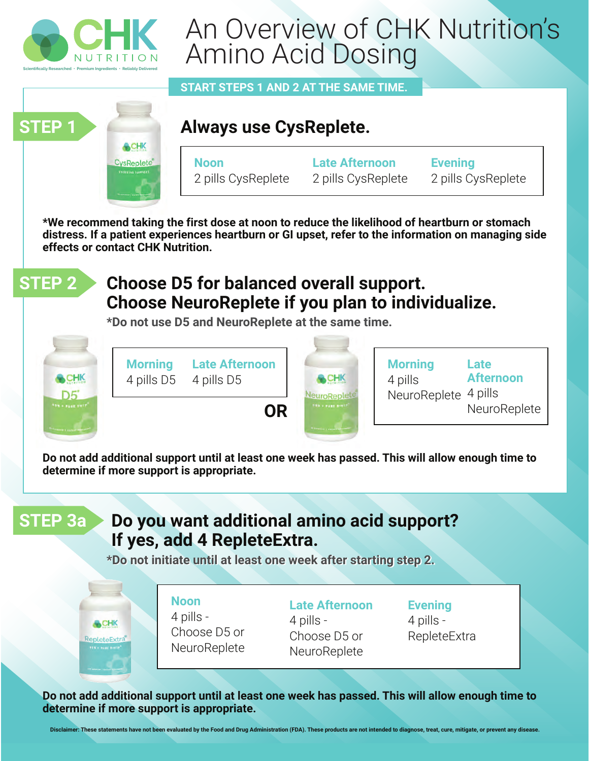

CHK **CysReplete** 

# An Overview of CHK Nutrition's Amino Acid Dosing

**START STEPS 1 AND 2 AT THE SAME TIME.** 

# **Always use CysReplete.**

**Noon** 2 pills CysReplete **Late Afternoon** 2 pills CysReplete

**Evening** 2 pills CysReplete

**\*We recommend taking the first dose at noon to reduce the likelihood of heartburn or stomach distress. If a patient experiences heartburn or GI upset, refer to the information on managing side effects or contact CHK Nutrition.**



**STEP 1**

### **Choose D5 for balanced overall support. Choose NeuroReplete if you plan to individualize.**

**\*Do not use D5 and NeuroReplete at the same time.**



**Do not add additional support until at least one week has passed. This will allow enough time to determine if more support is appropriate.**

# **STEP 3a Do you want additional amino acid support? If yes, add 4 RepleteExtra.**

**\*Do not initiate until at least one week after starting step 2.**

**A**CHK RepleteExtra **Noon** 4 pills - Choose D5 or **NeuroReplete** 

**Late Afternoon** 4 pills - Choose D5 or **NeuroReplete** 

**Evening** 4 pills - RepleteExtra

**Do not add additional support until at least one week has passed. This will allow enough time to determine if more support is appropriate.**

**Disclaimer: These statements have not been evaluated by the Food and Drug Administration (FDA). These products are not intended to diagnose, treat, cure, mitigate, or prevent any disease.**